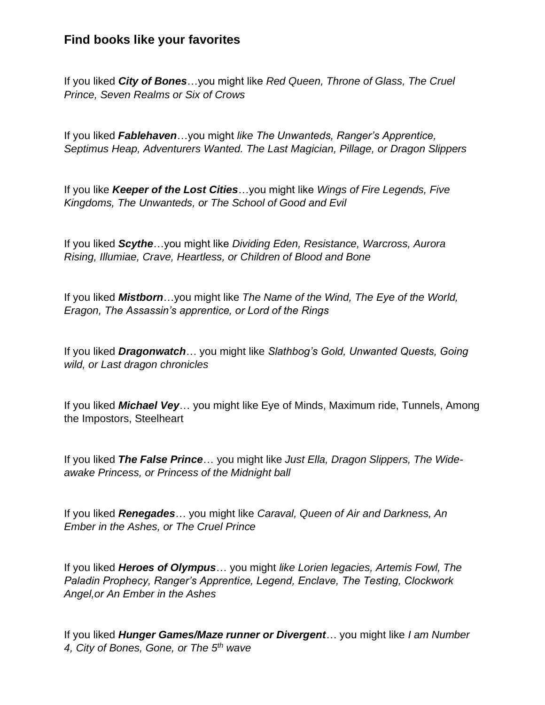## **Find books like your favorites**

If you liked *City of Bones*…you might like *Red Queen, Throne of Glass, The Cruel Prince, Seven Realms or Six of Crows*

If you liked *Fablehaven*…you might *like The Unwanteds, Ranger's Apprentice, Septimus Heap, Adventurers Wanted. The Last Magician, Pillage, or Dragon Slippers*

If you like *Keeper of the Lost Cities*…you might like *Wings of Fire Legends, Five Kingdoms, The Unwanteds, or The School of Good and Evil*

If you liked *Scythe*…you might like *Dividing Eden, Resistance, Warcross, Aurora Rising, Illumiae, Crave, Heartless, or Children of Blood and Bone*

If you liked *Mistborn*…you might like *The Name of the Wind, The Eye of the World, Eragon, The Assassin's apprentice, or Lord of the Rings*

If you liked *Dragonwatch*… you might like *Slathbog's Gold, Unwanted Quests, Going wild, or Last dragon chronicles*

If you liked *Michael Vey*… you might like Eye of Minds, Maximum ride, Tunnels, Among the Impostors, Steelheart

If you liked *The False Prince*… you might like *Just Ella, Dragon Slippers, The Wideawake Princess, or Princess of the Midnight ball*

If you liked *Renegades*… you might like *Caraval, Queen of Air and Darkness, An Ember in the Ashes, or The Cruel Prince*

If you liked *Heroes of Olympus*… you might *like Lorien legacies, Artemis Fowl, The Paladin Prophecy, Ranger's Apprentice, Legend, Enclave, The Testing, Clockwork Angel,or An Ember in the Ashes*

If you liked *Hunger Games/Maze runner or Divergent*… you might like *I am Number 4, City of Bones, Gone, or The 5th wave*